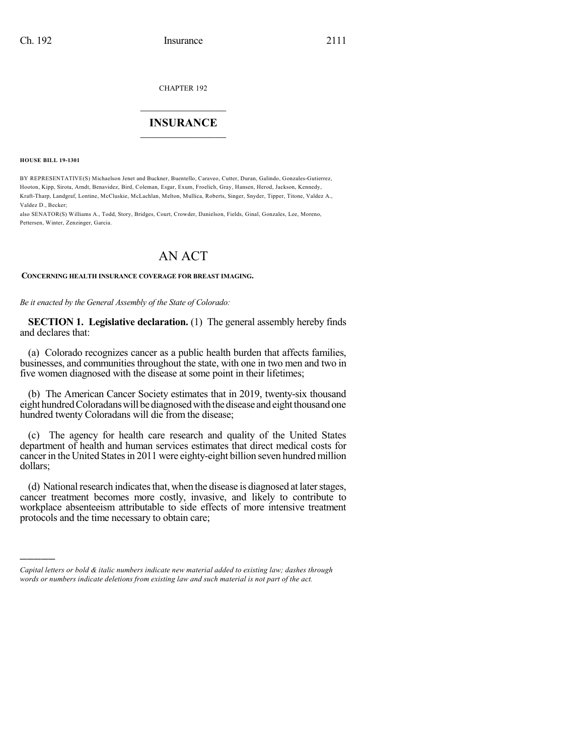CHAPTER 192

## $\mathcal{L}_\text{max}$  . The set of the set of the set of the set of the set of the set of the set of the set of the set of the set of the set of the set of the set of the set of the set of the set of the set of the set of the set **INSURANCE**  $\frac{1}{2}$  ,  $\frac{1}{2}$  ,  $\frac{1}{2}$  ,  $\frac{1}{2}$  ,  $\frac{1}{2}$  ,  $\frac{1}{2}$  ,  $\frac{1}{2}$

**HOUSE BILL 19-1301**

)))))

BY REPRESENTATIVE(S) Michaelson Jenet and Buckner, Buentello, Caraveo, Cutter, Duran, Galindo, Gonzales-Gutierrez, Hooton, Kipp, Sirota, Arndt, Benavidez, Bird, Coleman, Esgar, Exum, Froelich, Gray, Hansen, Herod, Jackson, Kennedy, Kraft-Tharp, Landgraf, Lontine, McCluskie, McLachlan, Melton, Mullica, Roberts, Singer, Snyder, Tipper, Titone, Valdez A., Valdez D., Becker;

also SENATOR(S) Williams A., Todd, Story, Bridges, Court, Crowder, Danielson, Fields, Ginal, Gonzales, Lee, Moreno, Pettersen, Winter, Zenzinger, Garcia.

## AN ACT

## **CONCERNING HEALTH INSURANCE COVERAGE FOR BREAST IMAGING.**

*Be it enacted by the General Assembly of the State of Colorado:*

**SECTION 1. Legislative declaration.** (1) The general assembly hereby finds and declares that:

(a) Colorado recognizes cancer as a public health burden that affects families, businesses, and communities throughout the state, with one in two men and two in five women diagnosed with the disease at some point in their lifetimes;

(b) The American Cancer Society estimates that in 2019, twenty-six thousand eight hundred Coloradans will be diagnosed with the disease and eight thousand one hundred twenty Coloradans will die from the disease;

(c) The agency for health care research and quality of the United States department of health and human services estimates that direct medical costs for cancer in the United States in 2011 were eighty-eight billion seven hundred million dollars;

(d) National research indicates that, when the disease is diagnosed at later stages, cancer treatment becomes more costly, invasive, and likely to contribute to workplace absenteeism attributable to side effects of more intensive treatment protocols and the time necessary to obtain care;

*Capital letters or bold & italic numbers indicate new material added to existing law; dashes through words or numbers indicate deletions from existing law and such material is not part of the act.*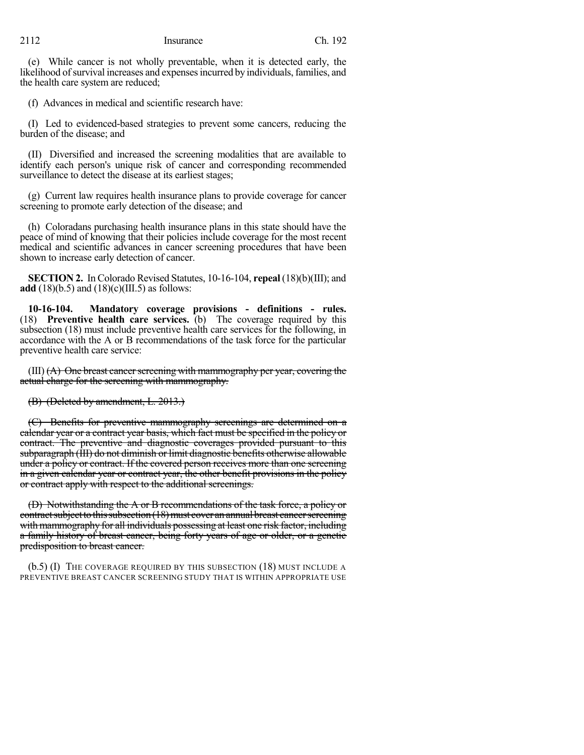(e) While cancer is not wholly preventable, when it is detected early, the likelihood of survival increases and expenses incurred by individuals, families, and the health care system are reduced;

(f) Advances in medical and scientific research have:

(I) Led to evidenced-based strategies to prevent some cancers, reducing the burden of the disease; and

(II) Diversified and increased the screening modalities that are available to identify each person's unique risk of cancer and corresponding recommended surveillance to detect the disease at its earliest stages;

(g) Current law requires health insurance plans to provide coverage for cancer screening to promote early detection of the disease; and

(h) Coloradans purchasing health insurance plans in this state should have the peace of mind of knowing that their policies include coverage for the most recent medical and scientific advances in cancer screening procedures that have been shown to increase early detection of cancer.

**SECTION 2.** In Colorado Revised Statutes, 10-16-104, **repeal** (18)(b)(III); and **add** (18)(b.5) and (18)(c)(III.5) as follows:

**10-16-104. Mandatory coverage provisions - definitions - rules.** (18) **Preventive health care services.** (b) The coverage required by this subsection (18) must include preventive health care services for the following, in accordance with the A or B recommendations of the task force for the particular preventive health care service:

 $(III)$   $(A)$  One breast cancer screening with mammography per year, covering the actual charge for the screening with mammography.

(B) (Deleted by amendment, L. 2013.)

(C) Benefits for preventive mammography screenings are determined on a calendar year or a contract year basis, which fact must be specified in the policy or contract. The preventive and diagnostic coverages provided pursuant to this subparagraph (III) do not diminish or limit diagnostic benefits otherwise allowable under a policy or contract. If the covered person receives more than one screening in a given calendar year or contract year, the other benefit provisions in the policy or contract apply with respect to the additional screenings.

(D) Notwithstanding the A or B recommendations of the task force, a policy or contract subject to this subsection (18) must cover an annual breast cancer screening with mammography for all individuals possessing at least one risk factor, including a family history of breast cancer, being forty years of age or older, or a genetic predisposition to breast cancer.

(b.5) (I) THE COVERAGE REQUIRED BY THIS SUBSECTION (18) MUST INCLUDE A PREVENTIVE BREAST CANCER SCREENING STUDY THAT IS WITHIN APPROPRIATE USE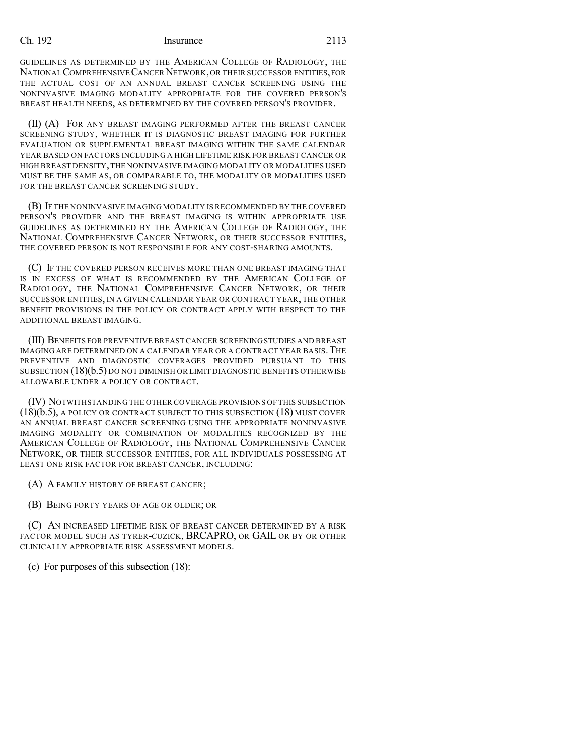## Ch. 192 Insurance 2113

GUIDELINES AS DETERMINED BY THE AMERICAN COLLEGE OF RADIOLOGY, THE NATIONAL COMPREHENSIVE CANCER NETWORK, OR THEIR SUCCESSOR ENTITIES, FOR THE ACTUAL COST OF AN ANNUAL BREAST CANCER SCREENING USING THE NONINVASIVE IMAGING MODALITY APPROPRIATE FOR THE COVERED PERSON'S BREAST HEALTH NEEDS, AS DETERMINED BY THE COVERED PERSON'S PROVIDER.

(II) (A) FOR ANY BREAST IMAGING PERFORMED AFTER THE BREAST CANCER SCREENING STUDY, WHETHER IT IS DIAGNOSTIC BREAST IMAGING FOR FURTHER EVALUATION OR SUPPLEMENTAL BREAST IMAGING WITHIN THE SAME CALENDAR YEAR BASED ON FACTORS INCLUDING A HIGH LIFETIME RISK FOR BREAST CANCER OR HIGH BREAST DENSITY,THE NONINVASIVE IMAGING MODALITY OR MODALITIES USED MUST BE THE SAME AS, OR COMPARABLE TO, THE MODALITY OR MODALITIES USED FOR THE BREAST CANCER SCREENING STUDY.

(B) IF THE NONINVASIVE IMAGING MODALITY IS RECOMMENDED BY THE COVERED PERSON'S PROVIDER AND THE BREAST IMAGING IS WITHIN APPROPRIATE USE GUIDELINES AS DETERMINED BY THE AMERICAN COLLEGE OF RADIOLOGY, THE NATIONAL COMPREHENSIVE CANCER NETWORK, OR THEIR SUCCESSOR ENTITIES, THE COVERED PERSON IS NOT RESPONSIBLE FOR ANY COST-SHARING AMOUNTS.

(C) IF THE COVERED PERSON RECEIVES MORE THAN ONE BREAST IMAGING THAT IS IN EXCESS OF WHAT IS RECOMMENDED BY THE AMERICAN COLLEGE OF RADIOLOGY, THE NATIONAL COMPREHENSIVE CANCER NETWORK, OR THEIR SUCCESSOR ENTITIES, IN A GIVEN CALENDAR YEAR OR CONTRACT YEAR, THE OTHER BENEFIT PROVISIONS IN THE POLICY OR CONTRACT APPLY WITH RESPECT TO THE ADDITIONAL BREAST IMAGING.

(III) BENEFITS FOR PREVENTIVE BREAST CANCER SCREENINGSTUDIES AND BREAST IMAGING ARE DETERMINED ON A CALENDAR YEAR OR A CONTRACT YEAR BASIS.THE PREVENTIVE AND DIAGNOSTIC COVERAGES PROVIDED PURSUANT TO THIS SUBSECTION (18)(b.5) DO NOT DIMINISH OR LIMIT DIAGNOSTIC BENEFITS OTHERWISE ALLOWABLE UNDER A POLICY OR CONTRACT.

(IV) NOTWITHSTANDING THE OTHER COVERAGE PROVISIONS OF THIS SUBSECTION (18)(b.5), A POLICY OR CONTRACT SUBJECT TO THIS SUBSECTION (18) MUST COVER AN ANNUAL BREAST CANCER SCREENING USING THE APPROPRIATE NONINVASIVE IMAGING MODALITY OR COMBINATION OF MODALITIES RECOGNIZED BY THE AMERICAN COLLEGE OF RADIOLOGY, THE NATIONAL COMPREHENSIVE CANCER NETWORK, OR THEIR SUCCESSOR ENTITIES, FOR ALL INDIVIDUALS POSSESSING AT LEAST ONE RISK FACTOR FOR BREAST CANCER, INCLUDING:

(A) A FAMILY HISTORY OF BREAST CANCER;

(B) BEING FORTY YEARS OF AGE OR OLDER; OR

(C) AN INCREASED LIFETIME RISK OF BREAST CANCER DETERMINED BY A RISK FACTOR MODEL SUCH AS TYRER-CUZICK, BRCAPRO, OR GAIL OR BY OR OTHER CLINICALLY APPROPRIATE RISK ASSESSMENT MODELS.

(c) For purposes of this subsection (18):